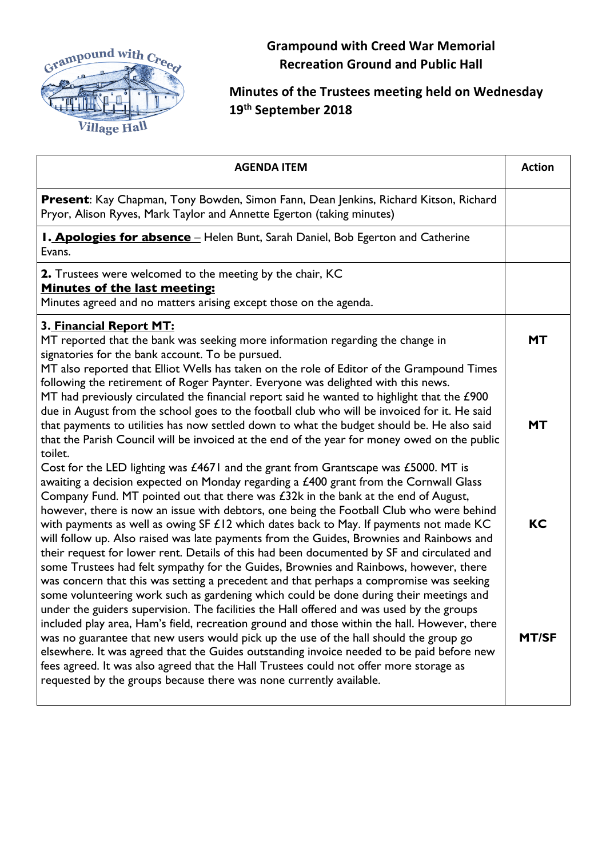

**Grampound with Creed War Memorial Recreation Ground and Public Hall**

## **Minutes of the Trustees meeting held on Wednesday 19th September 2018**

| <b>AGENDA ITEM</b>                                                                                                                                                                                                                                                                                                                                                                                                                                                                                                                                                                                                                                                                                                                                        | <b>Action</b>          |
|-----------------------------------------------------------------------------------------------------------------------------------------------------------------------------------------------------------------------------------------------------------------------------------------------------------------------------------------------------------------------------------------------------------------------------------------------------------------------------------------------------------------------------------------------------------------------------------------------------------------------------------------------------------------------------------------------------------------------------------------------------------|------------------------|
| Present: Kay Chapman, Tony Bowden, Simon Fann, Dean Jenkins, Richard Kitson, Richard<br>Pryor, Alison Ryves, Mark Taylor and Annette Egerton (taking minutes)                                                                                                                                                                                                                                                                                                                                                                                                                                                                                                                                                                                             |                        |
| <b>I. Apologies for absence</b> - Helen Bunt, Sarah Daniel, Bob Egerton and Catherine<br>Evans.                                                                                                                                                                                                                                                                                                                                                                                                                                                                                                                                                                                                                                                           |                        |
| 2. Trustees were welcomed to the meeting by the chair, KC<br>Minutes of the last meeting:<br>Minutes agreed and no matters arising except those on the agenda.                                                                                                                                                                                                                                                                                                                                                                                                                                                                                                                                                                                            |                        |
| 3. Financial Report MT:<br>MT reported that the bank was seeking more information regarding the change in<br>signatories for the bank account. To be pursued.<br>MT also reported that Elliot Wells has taken on the role of Editor of the Grampound Times<br>following the retirement of Roger Paynter. Everyone was delighted with this news.<br>MT had previously circulated the financial report said he wanted to highlight that the £900<br>due in August from the school goes to the football club who will be invoiced for it. He said<br>that payments to utilities has now settled down to what the budget should be. He also said<br>that the Parish Council will be invoiced at the end of the year for money owed on the public              | <b>MT</b><br><b>MT</b> |
| toilet.<br>Cost for the LED lighting was £4671 and the grant from Grantscape was £5000. MT is<br>awaiting a decision expected on Monday regarding a £400 grant from the Cornwall Glass<br>Company Fund. MT pointed out that there was $£32k$ in the bank at the end of August,<br>however, there is now an issue with debtors, one being the Football Club who were behind<br>with payments as well as owing SF $£12$ which dates back to May. If payments not made KC<br>will follow up. Also raised was late payments from the Guides, Brownies and Rainbows and<br>their request for lower rent. Details of this had been documented by SF and circulated and<br>some Trustees had felt sympathy for the Guides, Brownies and Rainbows, however, there | КC                     |
| was concern that this was setting a precedent and that perhaps a compromise was seeking<br>some volunteering work such as gardening which could be done during their meetings and<br>under the guiders supervision. The facilities the Hall offered and was used by the groups<br>included play area, Ham's field, recreation ground and those within the hall. However, there<br>was no guarantee that new users would pick up the use of the hall should the group go<br>elsewhere. It was agreed that the Guides outstanding invoice needed to be paid before new<br>fees agreed. It was also agreed that the Hall Trustees could not offer more storage as<br>requested by the groups because there was none currently available.                     | <b>MT/SF</b>           |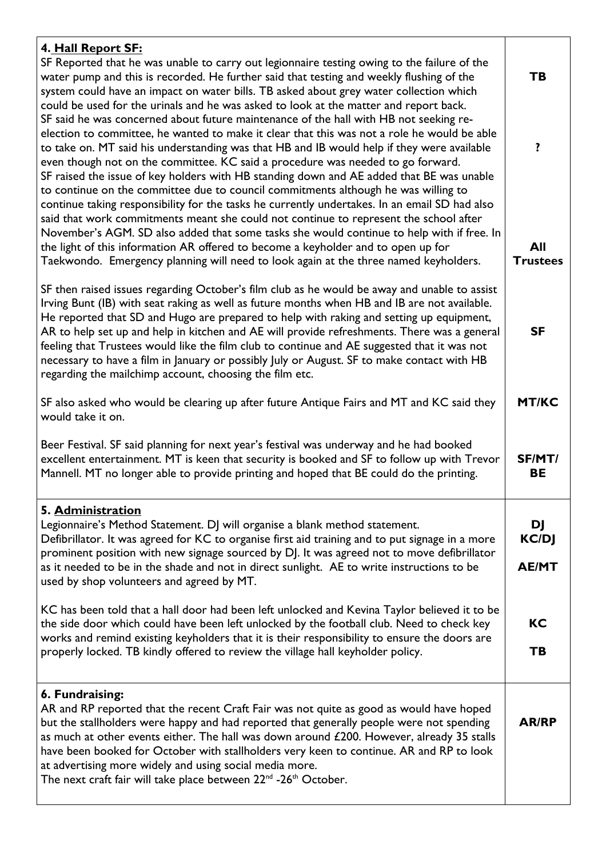| 4. Hall Report SF:<br>SF Reported that he was unable to carry out legionnaire testing owing to the failure of the<br>water pump and this is recorded. He further said that testing and weekly flushing of the<br>system could have an impact on water bills. TB asked about grey water collection which<br>could be used for the urinals and he was asked to look at the matter and report back.<br>SF said he was concerned about future maintenance of the hall with HB not seeking re-<br>election to committee, he wanted to make it clear that this was not a role he would be able<br>to take on. MT said his understanding was that HB and IB would help if they were available<br>even though not on the committee. KC said a procedure was needed to go forward.<br>SF raised the issue of key holders with HB standing down and AE added that BE was unable<br>to continue on the committee due to council commitments although he was willing to<br>continue taking responsibility for the tasks he currently undertakes. In an email SD had also<br>said that work commitments meant she could not continue to represent the school after<br>November's AGM. SD also added that some tasks she would continue to help with if free. In<br>the light of this information AR offered to become a keyholder and to open up for | TB<br>?<br>All  |
|-----------------------------------------------------------------------------------------------------------------------------------------------------------------------------------------------------------------------------------------------------------------------------------------------------------------------------------------------------------------------------------------------------------------------------------------------------------------------------------------------------------------------------------------------------------------------------------------------------------------------------------------------------------------------------------------------------------------------------------------------------------------------------------------------------------------------------------------------------------------------------------------------------------------------------------------------------------------------------------------------------------------------------------------------------------------------------------------------------------------------------------------------------------------------------------------------------------------------------------------------------------------------------------------------------------------------------------------|-----------------|
| Taekwondo. Emergency planning will need to look again at the three named keyholders.                                                                                                                                                                                                                                                                                                                                                                                                                                                                                                                                                                                                                                                                                                                                                                                                                                                                                                                                                                                                                                                                                                                                                                                                                                                    | <b>Trustees</b> |
| SF then raised issues regarding October's film club as he would be away and unable to assist<br>Irving Bunt (IB) with seat raking as well as future months when HB and IB are not available.<br>He reported that SD and Hugo are prepared to help with raking and setting up equipment,<br>AR to help set up and help in kitchen and AE will provide refreshments. There was a general<br>feeling that Trustees would like the film club to continue and AE suggested that it was not<br>necessary to have a film in January or possibly July or August. SF to make contact with HB<br>regarding the mailchimp account, choosing the film etc.                                                                                                                                                                                                                                                                                                                                                                                                                                                                                                                                                                                                                                                                                          | <b>SF</b>       |
| SF also asked who would be clearing up after future Antique Fairs and MT and KC said they                                                                                                                                                                                                                                                                                                                                                                                                                                                                                                                                                                                                                                                                                                                                                                                                                                                                                                                                                                                                                                                                                                                                                                                                                                               | <b>MT/KC</b>    |
| would take it on.                                                                                                                                                                                                                                                                                                                                                                                                                                                                                                                                                                                                                                                                                                                                                                                                                                                                                                                                                                                                                                                                                                                                                                                                                                                                                                                       |                 |
| Beer Festival. SF said planning for next year's festival was underway and he had booked<br>excellent entertainment. MT is keen that security is booked and SF to follow up with Trevor<br>Mannell. MT no longer able to provide printing and hoped that BE could do the printing.                                                                                                                                                                                                                                                                                                                                                                                                                                                                                                                                                                                                                                                                                                                                                                                                                                                                                                                                                                                                                                                       | SF/MT/<br>BE    |
| 5. Administration                                                                                                                                                                                                                                                                                                                                                                                                                                                                                                                                                                                                                                                                                                                                                                                                                                                                                                                                                                                                                                                                                                                                                                                                                                                                                                                       |                 |
| Legionnaire's Method Statement. DJ will organise a blank method statement.                                                                                                                                                                                                                                                                                                                                                                                                                                                                                                                                                                                                                                                                                                                                                                                                                                                                                                                                                                                                                                                                                                                                                                                                                                                              | DJ              |
| Defibrillator. It was agreed for KC to organise first aid training and to put signage in a more<br>prominent position with new signage sourced by DJ. It was agreed not to move defibrillator                                                                                                                                                                                                                                                                                                                                                                                                                                                                                                                                                                                                                                                                                                                                                                                                                                                                                                                                                                                                                                                                                                                                           | <b>KC/DJ</b>    |
| as it needed to be in the shade and not in direct sunlight. AE to write instructions to be                                                                                                                                                                                                                                                                                                                                                                                                                                                                                                                                                                                                                                                                                                                                                                                                                                                                                                                                                                                                                                                                                                                                                                                                                                              | <b>AE/MT</b>    |
| used by shop volunteers and agreed by MT.                                                                                                                                                                                                                                                                                                                                                                                                                                                                                                                                                                                                                                                                                                                                                                                                                                                                                                                                                                                                                                                                                                                                                                                                                                                                                               |                 |
| KC has been told that a hall door had been left unlocked and Kevina Taylor believed it to be                                                                                                                                                                                                                                                                                                                                                                                                                                                                                                                                                                                                                                                                                                                                                                                                                                                                                                                                                                                                                                                                                                                                                                                                                                            |                 |
| the side door which could have been left unlocked by the football club. Need to check key<br>works and remind existing keyholders that it is their responsibility to ensure the doors are                                                                                                                                                                                                                                                                                                                                                                                                                                                                                                                                                                                                                                                                                                                                                                                                                                                                                                                                                                                                                                                                                                                                               | KC              |
| properly locked. TB kindly offered to review the village hall keyholder policy.                                                                                                                                                                                                                                                                                                                                                                                                                                                                                                                                                                                                                                                                                                                                                                                                                                                                                                                                                                                                                                                                                                                                                                                                                                                         | TB              |
|                                                                                                                                                                                                                                                                                                                                                                                                                                                                                                                                                                                                                                                                                                                                                                                                                                                                                                                                                                                                                                                                                                                                                                                                                                                                                                                                         |                 |
| 6. Fundraising:<br>AR and RP reported that the recent Craft Fair was not quite as good as would have hoped<br>but the stallholders were happy and had reported that generally people were not spending<br>as much at other events either. The hall was down around £200. However, already 35 stalls<br>have been booked for October with stallholders very keen to continue. AR and RP to look<br>at advertising more widely and using social media more.<br>The next craft fair will take place between 22 <sup>nd</sup> -26 <sup>th</sup> October.                                                                                                                                                                                                                                                                                                                                                                                                                                                                                                                                                                                                                                                                                                                                                                                    | <b>AR/RP</b>    |